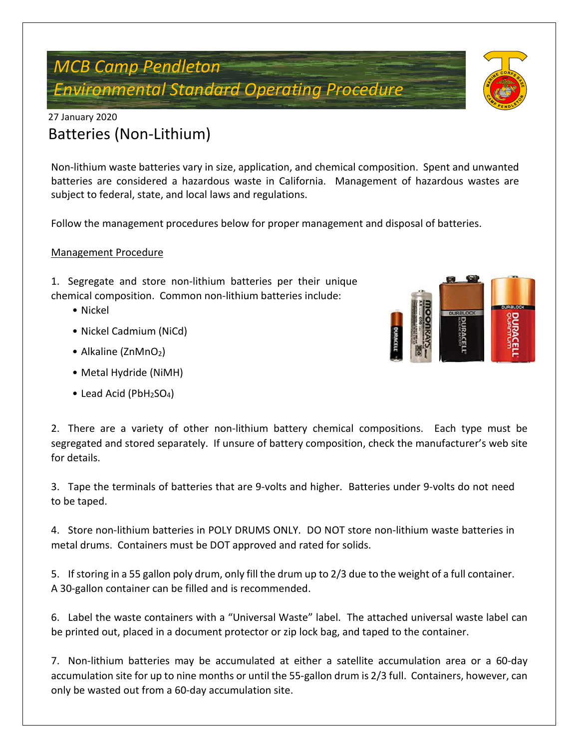# *MCB Camp Pendleton Environmental Standard Operating Procedure*



Non-lithium waste batteries vary in size, application, and chemical composition. Spent and unwanted batteries are considered a hazardous waste in California. Management of hazardous wastes are subject to federal, state, and local laws and regulations.

Follow the management procedures below for proper management and disposal of batteries.

### Management Procedure

1. Segregate and store non-lithium batteries per their unique chemical composition. Common non-lithium batteries include:

- Nickel
- Nickel Cadmium (NiCd)
- Alkaline (ZnMnO<sub>2</sub>)
- Metal Hydride (NiMH)
- Lead Acid ( $PbH_2SO_4$ )



2. There are a variety of other non-lithium battery chemical compositions. Each type must be segregated and stored separately. If unsure of battery composition, check the manufacturer's web site for details.

3. Tape the terminals of batteries that are 9-volts and higher. Batteries under 9-volts do not need to be taped.

4. Store non-lithium batteries in POLY DRUMS ONLY. DO NOT store non-lithium waste batteries in metal drums. Containers must be DOT approved and rated for solids.

5. If storing in a 55 gallon poly drum, only fill the drum up to 2/3 due to the weight of a full container. A 30-gallon container can be filled and is recommended.

6. Label the waste containers with a "Universal Waste" label. The attached universal waste label can be printed out, placed in a document protector or zip lock bag, and taped to the container.

7. Non-lithium batteries may be accumulated at either a satellite accumulation area or a 60-day accumulation site for up to nine months or until the 55-gallon drum is 2/3 full. Containers, however, can only be wasted out from a 60-day accumulation site.

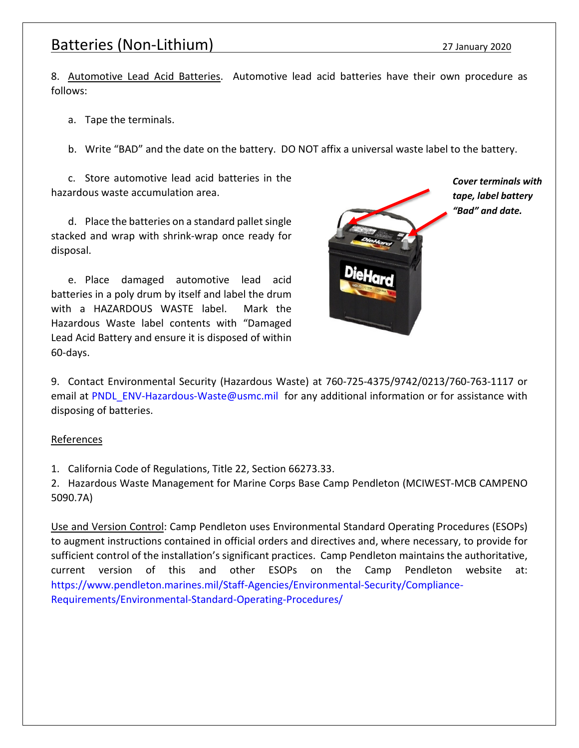### Batteries (Non-Lithium) 27 January 2020

8. Automotive Lead Acid Batteries. Automotive lead acid batteries have their own procedure as follows:

a. Tape the terminals.

b. Write "BAD" and the date on the battery. DO NOT affix a universal waste label to the battery.

c. Store automotive lead acid batteries in the hazardous waste accumulation area.

d. Place the batteries on a standard pallet single stacked and wrap with shrink-wrap once ready for disposal.

e. Place damaged automotive lead acid batteries in a poly drum by itself and label the drum with a HAZARDOUS WASTE label. Mark the Hazardous Waste label contents with "Damaged Lead Acid Battery and ensure it is disposed of within 60-days.



*Cover terminals with tape, label battery "Bad" and date.*

9. Contact Environmental Security (Hazardous Waste) at 760-725-4375/9742/0213/760-763-1117 or email at [PNDL\\_ENV-Hazardous-Waste@usmc.mil](mailto:PNDL_ENV-Hazardous-Waste@usmc.mil) for any additional information or for assistance with disposing of batteries.

#### **References**

1. California Code of Regulations, Title 22, Section 66273.33.

2. Hazardous Waste Management for Marine Corps Base Camp Pendleton (MCIWEST-MCB CAMPENO 5090.7A)

Use and Version Control: Camp Pendleton uses Environmental Standard Operating Procedures (ESOPs) to augment instructions contained in official orders and directives and, where necessary, to provide for sufficient control of the installation's significant practices. Camp Pendleton maintains the authoritative, current version of this and other ESOPs on the Camp Pendleton website at: [https://www.pendleton.marines.mil/Staff-Agencies/Environmental-Security/Compliance-](https://www.pendleton.marines.mil/Staff-Agencies/Environmental-Security/Compliance-Requirements/Environmental-Standard-Operating-Procedures/)[Requirements/Environmental-Standard-Operating-Procedures/](https://www.pendleton.marines.mil/Staff-Agencies/Environmental-Security/Compliance-Requirements/Environmental-Standard-Operating-Procedures/)